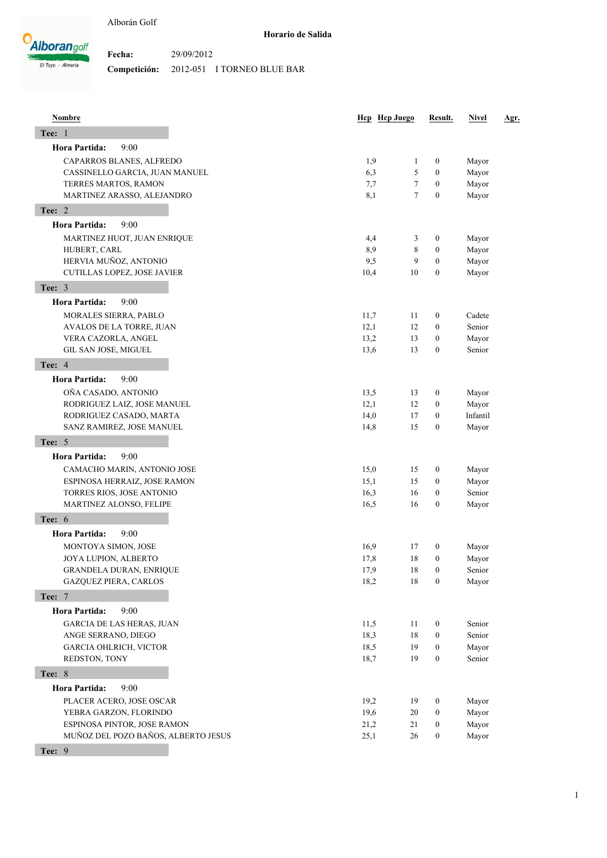

| <b>Nombre</b>                       |      | Hcp Hcp Juego  | Result.          | <b>Nivel</b> | <u>Agr.</u> |
|-------------------------------------|------|----------------|------------------|--------------|-------------|
| <b>Tee: 1</b>                       |      |                |                  |              |             |
| Hora Partida:<br>9:00               |      |                |                  |              |             |
| CAPARROS BLANES, ALFREDO            | 1,9  | 1              | 0                | Mayor        |             |
| CASSINELLO GARCIA, JUAN MANUEL      | 6,3  | 5              | $\boldsymbol{0}$ | Mayor        |             |
| TERRES MARTOS, RAMON                | 7,7  | 7              | $\boldsymbol{0}$ | Mayor        |             |
| MARTINEZ ARASSO, ALEJANDRO          | 8,1  | $\overline{7}$ | $\boldsymbol{0}$ | Mayor        |             |
| Tee: 2                              |      |                |                  |              |             |
| <b>Hora Partida:</b><br>9:00        |      |                |                  |              |             |
| MARTINEZ HUOT, JUAN ENRIQUE         | 4,4  | 3              | $\boldsymbol{0}$ | Mayor        |             |
| HUBERT, CARL                        | 8,9  | 8              | $\boldsymbol{0}$ | Mayor        |             |
| HERVIA MUÑOZ, ANTONIO               | 9,5  | 9              | $\boldsymbol{0}$ | Mayor        |             |
| CUTILLAS LOPEZ, JOSE JAVIER         | 10,4 | 10             | $\boldsymbol{0}$ | Mayor        |             |
| Tee: 3                              |      |                |                  |              |             |
| 9:00<br><b>Hora Partida:</b>        |      |                |                  |              |             |
| MORALES SIERRA, PABLO               | 11,7 | 11             | $\boldsymbol{0}$ | Cadete       |             |
| AVALOS DE LA TORRE, JUAN            | 12,1 | 12             | $\boldsymbol{0}$ | Senior       |             |
| VERA CAZORLA, ANGEL                 | 13,2 | 13             | $\boldsymbol{0}$ | Mayor        |             |
| GIL SAN JOSE, MIGUEL                | 13,6 | 13             | $\boldsymbol{0}$ | Senior       |             |
| <b>Tee: 4</b>                       |      |                |                  |              |             |
| <b>Hora Partida:</b><br>9:00        |      |                |                  |              |             |
| OÑA CASADO, ANTONIO                 | 13,5 | 13             | 0                | Mayor        |             |
| RODRIGUEZ LAIZ, JOSE MANUEL         | 12,1 | 12             | 0                | Mayor        |             |
| RODRIGUEZ CASADO, MARTA             | 14,0 | 17             | $\boldsymbol{0}$ | Infantil     |             |
| SANZ RAMIREZ, JOSE MANUEL           | 14,8 | 15             | $\boldsymbol{0}$ | Mayor        |             |
| Tee: 5                              |      |                |                  |              |             |
| <b>Hora Partida:</b><br>9:00        |      |                |                  |              |             |
| CAMACHO MARIN, ANTONIO JOSE         | 15,0 | 15             | 0                | Mayor        |             |
| ESPINOSA HERRAIZ, JOSE RAMON        | 15,1 | 15             | $\boldsymbol{0}$ | Mayor        |             |
| TORRES RIOS, JOSE ANTONIO           | 16,3 | 16             | $\boldsymbol{0}$ | Senior       |             |
| MARTINEZ ALONSO, FELIPE             | 16,5 | 16             | $\boldsymbol{0}$ | Mayor        |             |
| Tee: 6                              |      |                |                  |              |             |
| 9:00<br>Hora Partida:               |      |                |                  |              |             |
| MONTOYA SIMON, JOSE                 | 16,9 | 17             | $\boldsymbol{0}$ | Mayor        |             |
| JOYA LUPION, ALBERTO                | 17,8 | 18             | $\boldsymbol{0}$ | Mayor        |             |
| GRANDELA DURAN, ENRIQUE             | 17,9 | 18             | $\overline{0}$   | Senior       |             |
| <b>GAZQUEZ PIERA, CARLOS</b>        | 18,2 | 18             | $\boldsymbol{0}$ | Mayor        |             |
| <b>Tee: 7</b>                       |      |                |                  |              |             |
| Hora Partida:<br>9:00               |      |                |                  |              |             |
| <b>GARCIA DE LAS HERAS, JUAN</b>    | 11,5 | 11             | 0                | Senior       |             |
| ANGE SERRANO, DIEGO                 | 18,3 | 18             | $\boldsymbol{0}$ | Senior       |             |
| GARCIA OHLRICH, VICTOR              | 18,5 | 19             | $\boldsymbol{0}$ | Mayor        |             |
| REDSTON, TONY                       | 18,7 | 19             | $\boldsymbol{0}$ | Senior       |             |
| <b>Tee: 8</b>                       |      |                |                  |              |             |
| Hora Partida:<br>9:00               |      |                |                  |              |             |
| PLACER ACERO, JOSE OSCAR            | 19,2 | 19             | $\boldsymbol{0}$ | Mayor        |             |
| YEBRA GARZON, FLORINDO              | 19,6 | 20             | $\boldsymbol{0}$ | Mayor        |             |
| ESPINOSA PINTOR, JOSE RAMON         | 21,2 | 21             | $\boldsymbol{0}$ | Mayor        |             |
| MUÑOZ DEL POZO BAÑOS, ALBERTO JESUS | 25,1 | 26             | $\boldsymbol{0}$ | Mayor        |             |

**Tee:** 9

1